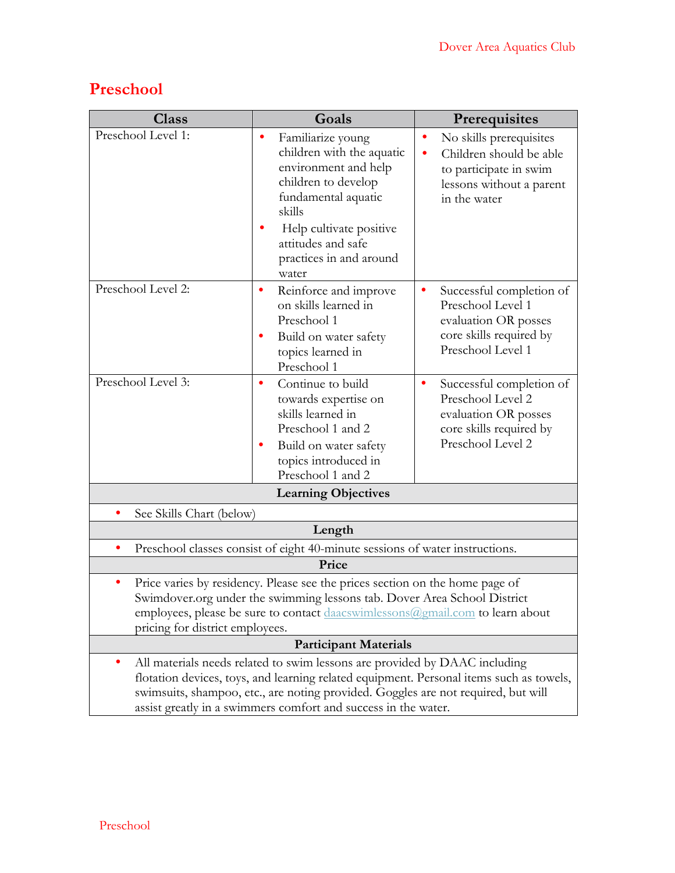## **Preschool**

| <b>Class</b>                                                                                                                                                                                                                                                                 | Goals                                                                                                                                                                                                                                                                                                                        | Prerequisites                                                                                                                      |  |  |
|------------------------------------------------------------------------------------------------------------------------------------------------------------------------------------------------------------------------------------------------------------------------------|------------------------------------------------------------------------------------------------------------------------------------------------------------------------------------------------------------------------------------------------------------------------------------------------------------------------------|------------------------------------------------------------------------------------------------------------------------------------|--|--|
| Preschool Level 1:                                                                                                                                                                                                                                                           | Familiarize young<br>٠<br>children with the aquatic<br>environment and help<br>children to develop<br>fundamental aquatic<br>skills<br>Help cultivate positive<br>attitudes and safe<br>practices in and around<br>water                                                                                                     | No skills prerequisites<br>٠<br>Children should be able<br>to participate in swim<br>lessons without a parent<br>in the water      |  |  |
| Preschool Level 2:                                                                                                                                                                                                                                                           | Reinforce and improve<br>٠<br>on skills learned in<br>Preschool 1<br>Build on water safety<br>٠<br>topics learned in<br>Preschool 1                                                                                                                                                                                          | Successful completion of<br>٠<br>Preschool Level 1<br>evaluation OR posses<br>core skills required by<br>Preschool Level 1         |  |  |
| Preschool Level 3:                                                                                                                                                                                                                                                           | Continue to build<br>٠<br>towards expertise on<br>skills learned in<br>Preschool 1 and 2<br>Build on water safety<br>٠<br>topics introduced in<br>Preschool 1 and 2                                                                                                                                                          | Successful completion of<br>$\bullet$<br>Preschool Level 2<br>evaluation OR posses<br>core skills required by<br>Preschool Level 2 |  |  |
| <b>Learning Objectives</b>                                                                                                                                                                                                                                                   |                                                                                                                                                                                                                                                                                                                              |                                                                                                                                    |  |  |
| See Skills Chart (below)                                                                                                                                                                                                                                                     |                                                                                                                                                                                                                                                                                                                              |                                                                                                                                    |  |  |
| Length                                                                                                                                                                                                                                                                       |                                                                                                                                                                                                                                                                                                                              |                                                                                                                                    |  |  |
| Preschool classes consist of eight 40-minute sessions of water instructions.                                                                                                                                                                                                 |                                                                                                                                                                                                                                                                                                                              |                                                                                                                                    |  |  |
|                                                                                                                                                                                                                                                                              | Price                                                                                                                                                                                                                                                                                                                        |                                                                                                                                    |  |  |
| Price varies by residency. Please see the prices section on the home page of<br>Swimdover.org under the swimming lessons tab. Dover Area School District<br>employees, please be sure to contact daacswimlessons@gmail.com to learn about<br>pricing for district employees. |                                                                                                                                                                                                                                                                                                                              |                                                                                                                                    |  |  |
|                                                                                                                                                                                                                                                                              | <b>Participant Materials</b>                                                                                                                                                                                                                                                                                                 |                                                                                                                                    |  |  |
|                                                                                                                                                                                                                                                                              | All materials needs related to swim lessons are provided by DAAC including<br>flotation devices, toys, and learning related equipment. Personal items such as towels,<br>swimsuits, shampoo, etc., are noting provided. Goggles are not required, but will<br>assist greatly in a swimmers comfort and success in the water. |                                                                                                                                    |  |  |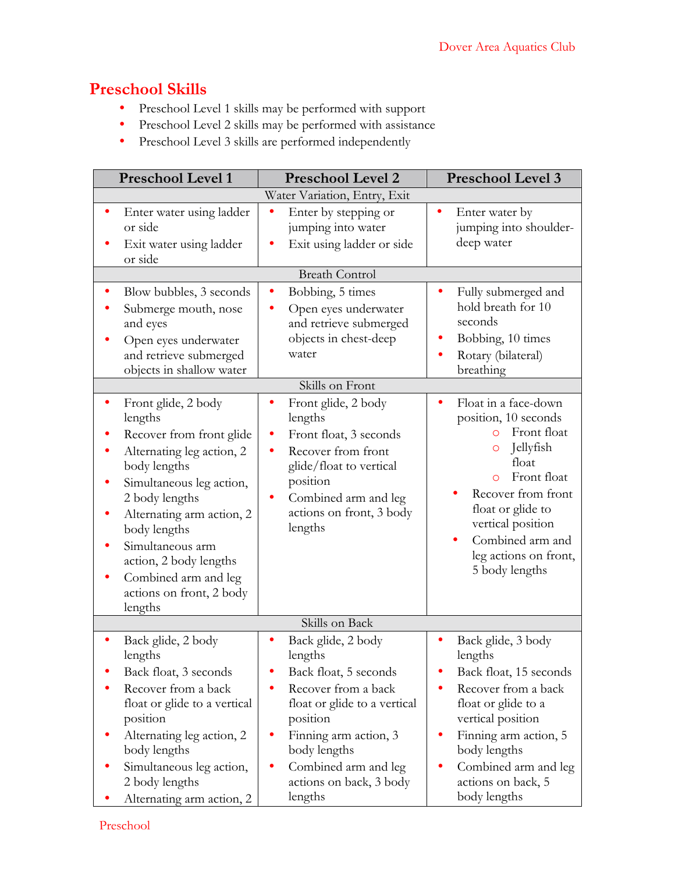## **Preschool Skills**

- Preschool Level 1 skills may be performed with support
- Preschool Level 2 skills may be performed with assistance
- Preschool Level 3 skills are performed independently

| <b>Preschool Level 1</b>                                                                                                                                                                                                                                                                 | <b>Preschool Level 2</b>                                                                                                                                      | Preschool Level 3                                                                                                                                                                                                        |  |  |
|------------------------------------------------------------------------------------------------------------------------------------------------------------------------------------------------------------------------------------------------------------------------------------------|---------------------------------------------------------------------------------------------------------------------------------------------------------------|--------------------------------------------------------------------------------------------------------------------------------------------------------------------------------------------------------------------------|--|--|
| Water Variation, Entry, Exit                                                                                                                                                                                                                                                             |                                                                                                                                                               |                                                                                                                                                                                                                          |  |  |
| Enter water using ladder<br>٠<br>or side<br>Exit water using ladder<br>or side                                                                                                                                                                                                           | Enter by stepping or<br>٠<br>jumping into water<br>Exit using ladder or side                                                                                  | Enter water by<br>jumping into shoulder-<br>deep water                                                                                                                                                                   |  |  |
|                                                                                                                                                                                                                                                                                          | <b>Breath Control</b>                                                                                                                                         |                                                                                                                                                                                                                          |  |  |
| Blow bubbles, 3 seconds<br>Submerge mouth, nose<br>and eyes<br>Open eyes underwater<br>and retrieve submerged<br>objects in shallow water                                                                                                                                                | Bobbing, 5 times<br>٠<br>Open eyes underwater<br>and retrieve submerged<br>objects in chest-deep<br>water<br>Skills on Front                                  | Fully submerged and<br>٠<br>hold breath for 10<br>seconds<br>Bobbing, 10 times<br>Rotary (bilateral)<br>breathing                                                                                                        |  |  |
| Front glide, 2 body<br>٠                                                                                                                                                                                                                                                                 | Front glide, 2 body                                                                                                                                           | Float in a face-down                                                                                                                                                                                                     |  |  |
| lengths<br>Recover from front glide<br>Alternating leg action, 2<br>body lengths<br>Simultaneous leg action,<br>2 body lengths<br>Alternating arm action, 2<br>body lengths<br>Simultaneous arm<br>action, 2 body lengths<br>Combined arm and leg<br>actions on front, 2 body<br>lengths | lengths<br>Front float, 3 seconds<br>Recover from front<br>glide/float to vertical<br>position<br>Combined arm and leg<br>actions on front, 3 body<br>lengths | position, 10 seconds<br>Front float<br>Jellyfish<br>O<br>float<br>Front float<br>$\Omega$<br>Recover from front<br>float or glide to<br>vertical position<br>Combined arm and<br>leg actions on front,<br>5 body lengths |  |  |
|                                                                                                                                                                                                                                                                                          | Skills on Back                                                                                                                                                |                                                                                                                                                                                                                          |  |  |
| Back glide, 2 body<br>lengths<br>Back float, 3 seconds<br>Recover from a back<br>float or glide to a vertical<br>position                                                                                                                                                                | Back glide, 2 body<br>lengths<br>Back float, 5 seconds<br>Recover from a back<br>float or glide to a vertical<br>position                                     | Back glide, 3 body<br>lengths<br>Back float, 15 seconds<br>Recover from a back<br>float or glide to a<br>vertical position                                                                                               |  |  |
| Alternating leg action, 2<br>body lengths<br>Simultaneous leg action,<br>2 body lengths<br>Alternating arm action, 2                                                                                                                                                                     | Finning arm action, 3<br>body lengths<br>Combined arm and leg<br>actions on back, 3 body<br>lengths                                                           | Finning arm action, 5<br>body lengths<br>Combined arm and leg<br>actions on back, 5<br>body lengths                                                                                                                      |  |  |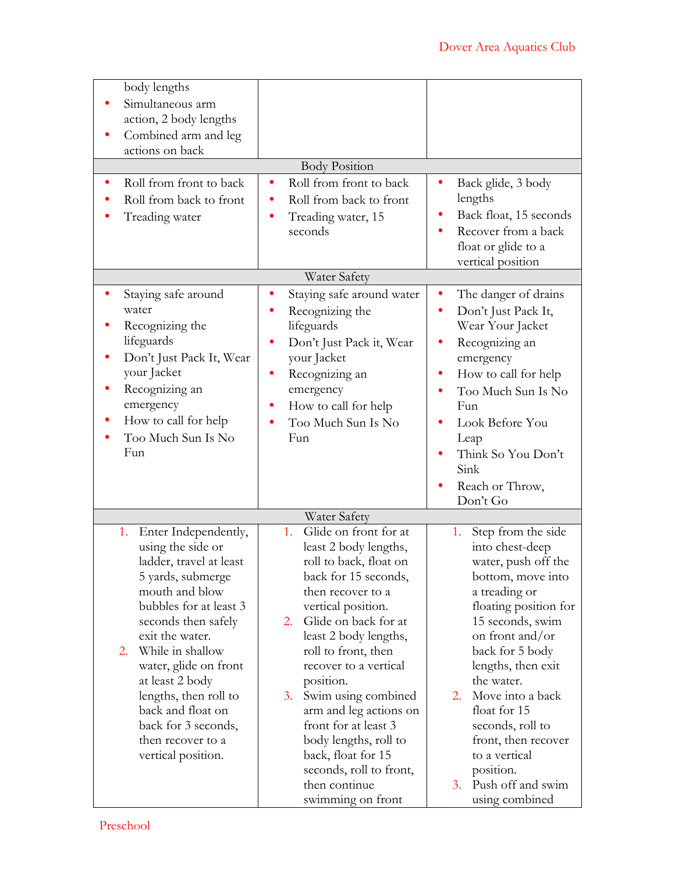| body lengths<br>Simultaneous arm<br>action, 2 body lengths<br>Combined arm and leg<br>actions on back<br>Roll from front to back<br>Roll from back to front<br>Treading water                                                                                                                                                                                               | <b>Body Position</b><br>Roll from front to back<br>Roll from back to front<br>Treading water, 15<br>seconds                                                                                                                                                                                                                                                                                                                                                          | Back glide, 3 body<br>lengths<br>Back float, 15 seconds<br>Recover from a back<br>float or glide to a<br>vertical position                                                                                                                                                                                                                                                                      |  |  |
|-----------------------------------------------------------------------------------------------------------------------------------------------------------------------------------------------------------------------------------------------------------------------------------------------------------------------------------------------------------------------------|----------------------------------------------------------------------------------------------------------------------------------------------------------------------------------------------------------------------------------------------------------------------------------------------------------------------------------------------------------------------------------------------------------------------------------------------------------------------|-------------------------------------------------------------------------------------------------------------------------------------------------------------------------------------------------------------------------------------------------------------------------------------------------------------------------------------------------------------------------------------------------|--|--|
| Water Safety                                                                                                                                                                                                                                                                                                                                                                |                                                                                                                                                                                                                                                                                                                                                                                                                                                                      |                                                                                                                                                                                                                                                                                                                                                                                                 |  |  |
| Staying safe around<br>water<br>Recognizing the<br>lifeguards<br>Don't Just Pack It, Wear<br>your Jacket<br>Recognizing an<br>emergency<br>How to call for help<br>Too Much Sun Is No<br>Fun                                                                                                                                                                                | Staying safe around water<br>Recognizing the<br>lifeguards<br>Don't Just Pack it, Wear<br>your Jacket<br>Recognizing an<br>emergency<br>How to call for help<br>Too Much Sun Is No<br>Fun                                                                                                                                                                                                                                                                            | The danger of drains<br>Don't Just Pack It,<br>Wear Your Jacket<br>Recognizing an<br>emergency<br>How to call for help<br>Too Much Sun Is No<br>Fun<br>Look Before You<br>Leap<br>Think So You Don't<br>Sink<br>Reach or Throw,<br>Don't Go                                                                                                                                                     |  |  |
|                                                                                                                                                                                                                                                                                                                                                                             | Water Safety                                                                                                                                                                                                                                                                                                                                                                                                                                                         |                                                                                                                                                                                                                                                                                                                                                                                                 |  |  |
| Enter Independently,<br>1.<br>using the side or<br>ladder, travel at least<br>5 yards, submerge<br>mouth and blow<br>bubbles for at least 3<br>seconds then safely<br>exit the water.<br>While in shallow<br>2.<br>water, glide on front<br>at least 2 body<br>lengths, then roll to<br>back and float on<br>back for 3 seconds,<br>then recover to a<br>vertical position. | Glide on front for at<br>1.<br>least 2 body lengths,<br>roll to back, float on<br>back for 15 seconds,<br>then recover to a<br>vertical position.<br>Glide on back for at<br>2.<br>least 2 body lengths,<br>roll to front, then<br>recover to a vertical<br>position.<br>Swim using combined<br>3.<br>arm and leg actions on<br>front for at least 3<br>body lengths, roll to<br>back, float for 15<br>seconds, roll to front,<br>then continue<br>swimming on front | Step from the side<br>1.<br>into chest-deep<br>water, push off the<br>bottom, move into<br>a treading or<br>floating position for<br>15 seconds, swim<br>on front and/or<br>back for 5 body<br>lengths, then exit<br>the water.<br>Move into a back<br>2.<br>float for 15<br>seconds, roll to<br>front, then recover<br>to a vertical<br>position.<br>Push off and swim<br>3.<br>using combined |  |  |